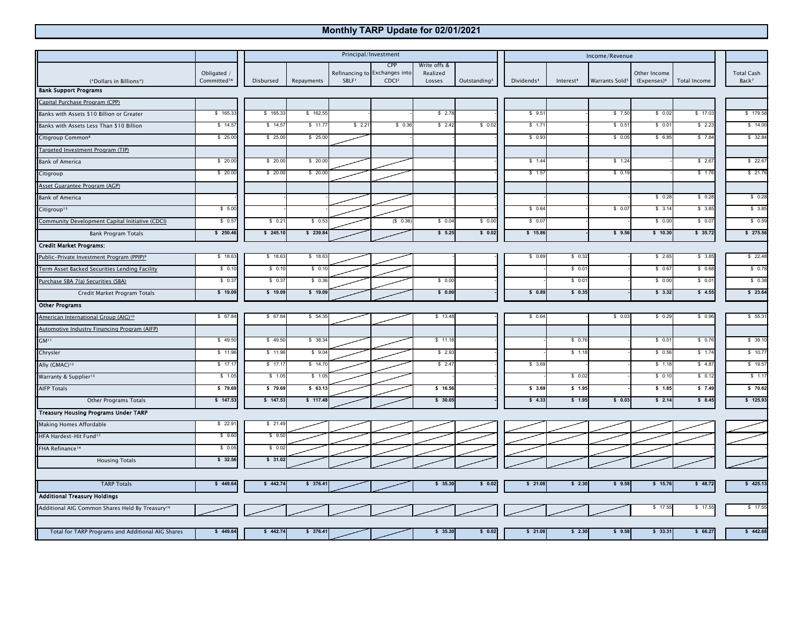## **Monthly TARP Update for 02/01/2021**

|                                                             |                         | Principal/Investment |            |                   |                                      |                          |                          | Income/Revenue         |                       |                            |                         |              |                   |
|-------------------------------------------------------------|-------------------------|----------------------|------------|-------------------|--------------------------------------|--------------------------|--------------------------|------------------------|-----------------------|----------------------------|-------------------------|--------------|-------------------|
|                                                             | Obligated /             |                      |            |                   | CPP<br>Refinancing to Exchanges into | Write offs &<br>Realized |                          |                        |                       |                            | Other Income            |              | <b>Total Cash</b> |
| (*Dollars in Billions*)                                     | Committed <sup>16</sup> | Disbursed            | Repayments | SBLF <sup>1</sup> | CDCl <sup>2</sup>                    | Losses                   | Outstanding <sup>3</sup> | Dividends <sup>4</sup> | Interest <sup>4</sup> | Warrants Sold <sup>5</sup> | (Expenses) <sup>6</sup> | Total Income | Back <sup>7</sup> |
| <b>Bank Support Programs</b>                                |                         |                      |            |                   |                                      |                          |                          |                        |                       |                            |                         |              |                   |
| Capital Purchase Program (CPP)                              |                         |                      |            |                   |                                      |                          |                          |                        |                       |                            |                         |              |                   |
| Banks with Assets \$10 Billion or Greater                   | \$165.33                | \$165.33             | \$162.55   |                   |                                      | \$2.78                   |                          | \$9.51                 |                       | \$7.50                     | \$0.02                  | \$17.03      | \$179.58          |
| Banks with Assets Less Than \$10 Billion                    | \$14.57                 | \$14.5               | \$11.7     | \$2.2'            | \$0.36                               | \$2.42                   | \$0.02                   | \$ 1.7'                |                       | \$0.5                      | \$0.0                   | \$2.23       | \$14.00           |
| Citigroup Common <sup>8</sup>                               | \$25.00                 | \$25.00              | \$25.00    |                   |                                      |                          |                          | \$0.93                 |                       | \$0.0                      | \$6.85                  | \$7.84       | \$32.84           |
| Targeted Investment Program (TIP)                           |                         |                      |            |                   |                                      |                          |                          |                        |                       |                            |                         |              |                   |
| Bank of America                                             | \$20.00                 | \$ 20.00             | \$20.0     |                   |                                      |                          |                          | \$1.44                 |                       | \$1.24                     |                         | \$2.67       | \$22.67           |
| Citigroup                                                   | \$20.00                 | \$ 20.00             | \$ 20.0    |                   |                                      |                          |                          | \$ 1.57                |                       | \$0.1                      |                         | \$1.76       | \$21.76           |
| Asset Guarantee Program (AGP)                               |                         |                      |            |                   |                                      |                          |                          |                        |                       |                            |                         |              |                   |
| <b>Bank of America</b>                                      |                         |                      |            |                   |                                      |                          |                          |                        |                       |                            | \$0.28                  | \$0.28       | \$0.28            |
| Citigroup <sup>15</sup>                                     | \$5.00                  |                      |            |                   |                                      |                          |                          | \$0.64                 |                       | \$0.07                     | \$3.14                  | \$3.85       | \$3.85            |
| Community Development Capital Initiative (CDCI)             | \$0.57                  | \$0.2                | \$0.53     |                   | (\$0.36                              | \$0.04                   | \$0.00                   | \$0.07                 |                       |                            | \$0.00                  | \$0.07       | \$0.59            |
| Bank Program Totals                                         | \$250.46                | \$245.10             | \$239.84   |                   |                                      | \$5.25                   | \$0.02                   | \$ 15.86               |                       | \$9.56                     | \$10.30                 | \$35.72      | \$275.56          |
| <b>Credit Market Programs:</b>                              |                         |                      |            |                   |                                      |                          |                          |                        |                       |                            |                         |              |                   |
| Public-Private Investment Program (PPIP) <sup>9</sup>       | \$18.63                 | \$18.63              | \$18.63    |                   |                                      |                          |                          | \$0.89                 | \$0.32                |                            | \$2.65                  | \$3.85       | \$22.48           |
| Term Asset Backed Securities Lending Facility               | \$0.10                  | \$0.10               | \$0.1      |                   |                                      |                          |                          |                        | \$0.01                |                            | \$0.67                  | \$0.68       | \$0.78            |
| Purchase SBA 7(a) Securities (SBA)                          | \$0.37                  | \$0.3                | \$0.30     |                   |                                      | \$0.00                   |                          |                        | \$0.01                |                            | \$0.00                  | \$0.01       | \$0.38            |
| Credit Market Program Totals                                | \$19.09                 | \$ 19.09             | \$ 19.09   |                   |                                      | \$0.00                   |                          | \$0.89                 | \$0.35                |                            | \$3.32                  | \$4.55       | \$ 23.64          |
| <b>Other Programs</b>                                       |                         |                      |            |                   |                                      |                          |                          |                        |                       |                            |                         |              |                   |
| American International Group (AIG) <sup>10</sup>            | \$67.84                 | \$67.84              | \$54.35    |                   |                                      | \$13.48                  |                          | \$0.64                 |                       | \$0.03                     | \$0.29                  | \$0.96       | \$55.31           |
| <b>Automotive Industry Financing Program (AIFP)</b>         |                         |                      |            |                   |                                      |                          |                          |                        |                       |                            |                         |              |                   |
| GM <sup>11</sup>                                            | \$49.50                 | \$49.50              | \$38.34    |                   |                                      | \$11.16                  |                          |                        | \$0.76                |                            | \$0.01                  | \$0.76       | \$39.10           |
| Chrysler                                                    | \$11.96                 | \$11.96              | \$9.04     |                   |                                      | \$2.93                   |                          |                        | \$1.18                |                            | \$0.56                  | \$1.74       | \$10.77           |
| Ally (GMAC) <sup>12</sup>                                   | \$17.17                 | \$ 17.1              | \$14.7     |                   |                                      | \$2.47                   |                          | \$3.69                 |                       |                            | \$1.18                  | \$4.87       | \$19.57           |
| Warranty & Supplier <sup>13</sup>                           | \$ 1.05                 | \$ 1.05              | \$ 1.05    |                   |                                      |                          |                          |                        | \$0.02                |                            | \$0.10                  | \$0.12       | \$1.17            |
| <b>AIFP Totals</b>                                          | \$79.69                 | \$79.69              | \$63.1     |                   |                                      | \$16.56                  |                          | \$3.69                 | \$ 1.95               |                            | \$ 1.85                 | \$7.49       | \$70.62           |
| <b>Other Programs Totals</b>                                | \$147.53                | \$147.53             | \$717.48   |                   |                                      | \$30.05                  |                          | \$4.33                 | \$1.95                | \$0.03                     | \$2.14                  | \$8.45       | \$125.93          |
| <b>Treasury Housing Programs Under TARP</b>                 |                         |                      |            |                   |                                      |                          |                          |                        |                       |                            |                         |              |                   |
| Making Homes Affordable                                     | \$22.91                 | \$21.49              |            |                   |                                      |                          |                          |                        |                       |                            |                         |              |                   |
| HFA Hardest-Hit Fund <sup>17</sup>                          | \$9.60                  | \$9.50               |            |                   |                                      |                          |                          |                        |                       |                            |                         |              |                   |
| FHA Refinance <sup>14</sup>                                 | \$0.05                  | \$0.0                |            |                   |                                      |                          |                          |                        |                       |                            |                         |              |                   |
| <b>Housing Totals</b>                                       | \$32.56                 | \$31.0               |            |                   |                                      |                          |                          |                        |                       |                            |                         |              |                   |
|                                                             |                         |                      |            |                   |                                      |                          |                          |                        |                       |                            |                         |              |                   |
| <b>TARP Totals</b>                                          | \$449.64                | \$442.74             | \$376.41   |                   |                                      | \$35.30                  | \$ 0.02                  | \$21.08                | \$2.30                | \$9.58                     | \$ 15.76                | \$48.72      | \$425.13          |
| <b>Additional Treasury Holdings</b>                         |                         |                      |            |                   |                                      |                          |                          |                        |                       |                            |                         |              |                   |
| Additional AIG Common Shares Held By Treasury <sup>10</sup> |                         |                      |            |                   |                                      |                          |                          |                        |                       |                            | \$17.55                 | \$17.55      | \$17.55           |
|                                                             |                         |                      |            |                   |                                      |                          |                          |                        |                       |                            |                         |              |                   |
| Total for TARP Programs and Additional AIG Shares           | \$449.64                | \$442.74             | \$376.41   |                   |                                      | \$35.30                  | \$0.02                   | \$21.08                | \$2.30                | \$9.58                     | \$33.31                 | \$66.27      | \$442.68          |